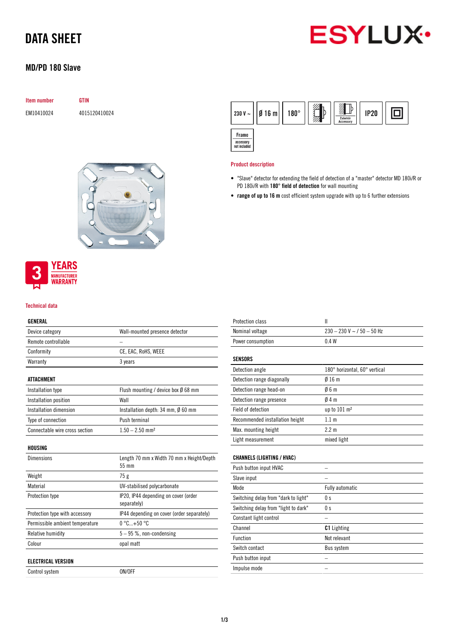# DATA SHEET



# MD/PD 180 Slave

| <b>Item number</b> | GTIN          |
|--------------------|---------------|
| EM10410024         | 4015120410024 |



### $\mathbb{P}$ グランド 回  $Ø16m$  $180^\circ$  $IP20$ 230 V  $\sim$ **Zuhehör** Frame accessory<br>not included

## Product description

- "Slave" detector for extending the field of detection of a "master" detector MD 180i/R or PD 180i/R with 180° field of detection for wall mounting
- range of up to 16 m cost efficient system upgrade with up to 6 further extensions



### Technical data

# GENERAL

| Device category                 | Wall-mounted presence detector                          |
|---------------------------------|---------------------------------------------------------|
| Remote controllable             |                                                         |
| Conformity                      | CE, EAC, RoHS, WEEE                                     |
| Warranty                        | 3 years                                                 |
|                                 |                                                         |
| <b>ATTACHMENT</b>               |                                                         |
| Installation type               | Flush mounting / device box $\emptyset$ 68 mm           |
| Installation position           | Wall                                                    |
| Installation dimension          | Installation depth: $34 \text{ mm}$ , $\emptyset$ 60 mm |
| Type of connection              | Push terminal                                           |
| Connectable wire cross section  | $1.50 - 2.50$ mm <sup>2</sup>                           |
|                                 |                                                         |
| HOUSING                         |                                                         |
| <b>Dimensions</b>               | Length 70 mm x Width 70 mm x Height/Depth<br>55 mm      |
| Weight                          | 75 g                                                    |
| Material                        | UV-stabilised polycarbonate                             |
| Protection type                 | IP20, IP44 depending on cover (order<br>separately)     |
| Protection type with accessory  | IP44 depending on cover (order separately)              |
| Permissible ambient temperature | $0^{\circ}$ C+50 $^{\circ}$ C                           |
| Relative humidity               | $5-95$ %, non-condensing                                |
| Colour                          | opal matt                                               |
|                                 |                                                         |
| <b>ELECTRICAL VERSION</b>       |                                                         |
| Control system                  | ON/OFF                                                  |

| Protection class                | Ш                                |
|---------------------------------|----------------------------------|
| Nominal voltage                 | $230 - 230$ V ~ $/$ 50 $-$ 50 Hz |
| Power consumption               | 0.4W                             |
|                                 |                                  |
| <b>SENSORS</b>                  |                                  |
| Detection angle                 | 180° horizontal, 60° vertical    |
| Detection range diagonally      | $\emptyset$ 16 m                 |
| Detection range head-on         | Ø6 m                             |
| Detection range presence        | 04m                              |
| Field of detection              | up to $101 \text{ m}^2$          |
| Recommended installation height | 1.1 m                            |

# CHANNELS (LIGHTING / HVAC)

Max. mounting height 2.2 m Light measurement mixed light

| Push button input HVAC               |                        |
|--------------------------------------|------------------------|
| Slave input                          |                        |
| Mode                                 | <b>Fully automatic</b> |
| Switching delay from "dark to light" | 0 <sup>s</sup>         |
| Switching delay from "light to dark" | 0 <sub>s</sub>         |
| Constant light control               |                        |
| Channel                              | <b>C1</b> Lighting     |
| Function                             | Not relevant           |
| Switch contact                       | Bus system             |
| Push button input                    |                        |
| Impulse mode                         |                        |
|                                      |                        |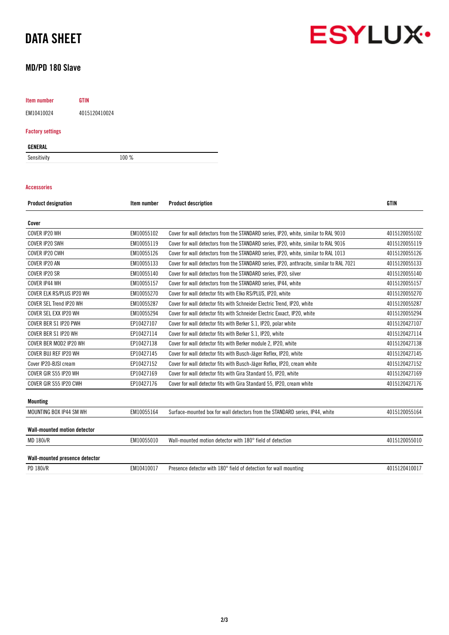# DATA SHEET

# MD/PD 180 Slave

Item number GTIN

EM10410024 4015120410024

# Factory settings

GENERAL

Sensitivity 100 %

# Accessories

| <b>Product designation</b>          | Item number | <b>Product description</b>                                                               | <b>GTIN</b>   |
|-------------------------------------|-------------|------------------------------------------------------------------------------------------|---------------|
| Cover                               |             |                                                                                          |               |
| COVER IP20 WH                       | EM10055102  | Cover for wall detectors from the STANDARD series, IP20, white, similar to RAL 9010      | 4015120055102 |
| COVER IP20 SWH                      | EM10055119  | Cover for wall detectors from the STANDARD series, IP20, white, similar to RAL 9016      | 4015120055119 |
| COVER IP20 CWH                      | EM10055126  | Cover for wall detectors from the STANDARD series, IP20, white, similar to RAL 1013      | 4015120055126 |
| COVER IP20 AN                       | EM10055133  | Cover for wall detectors from the STANDARD series, IP20, anthracite, similar to RAL 7021 | 4015120055133 |
| COVER IP20 SR                       | EM10055140  | Cover for wall detectors from the STANDARD series, IP20, silver                          | 4015120055140 |
| COVER IP44 WH                       | EM10055157  | Cover for wall detectors from the STANDARD series, IP44, white                           | 4015120055157 |
| COVER ELK RS/PLUS IP20 WH           | EM10055270  | Cover for wall detector fits with Elko RS/PLUS, IP20, white                              | 4015120055270 |
| COVER SEL Trend IP20 WH             | EM10055287  | Cover for wall detector fits with Schneider Electric Trend, IP20, white                  | 4015120055287 |
| COVER SEL EXX IP20 WH               | EM10055294  | Cover for wall detector fits with Schneider Electric Exxact, IP20, white                 | 4015120055294 |
| COVER BER S1 IP20 PWH               | EP10427107  | Cover for wall detector fits with Berker S.1, IP20, polar white                          | 4015120427107 |
| COVER BER S1 IP20 WH                | EP10427114  | Cover for wall detector fits with Berker S.1, IP20, white                                | 4015120427114 |
| COVER BER MOD2 IP20 WH              | EP10427138  | Cover for wall detector fits with Berker module 2, IP20, white                           | 4015120427138 |
| COVER BUJ REF IP20 WH               | EP10427145  | Cover for wall detector fits with Busch-Jäger Reflex, IP20, white                        | 4015120427145 |
| Cover IP20-BISI cream               | EP10427152  | Cover for wall detector fits with Busch-Jäger Reflex, IP20, cream white                  | 4015120427152 |
| COVER GIR S55 IP20 WH               | EP10427169  | Cover for wall detector fits with Gira Standard 55, IP20, white                          | 4015120427169 |
| COVER GIR S55 IP20 CWH              | EP10427176  | Cover for wall detector fits with Gira Standard 55, IP20, cream white                    | 4015120427176 |
| <b>Mounting</b>                     |             |                                                                                          |               |
| MOUNTING BOX IP44 SM WH             | EM10055164  | Surface-mounted box for wall detectors from the STANDARD series, IP44, white             | 4015120055164 |
| <b>Wall-mounted motion detector</b> |             |                                                                                          |               |
| <b>MD 180i/R</b>                    | EM10055010  | Wall-mounted motion detector with 180° field of detection                                | 4015120055010 |
| Wall-mounted presence detector      |             |                                                                                          |               |
| PD 180i/R                           | EM10410017  | Presence detector with 180° field of detection for wall mounting                         | 4015120410017 |